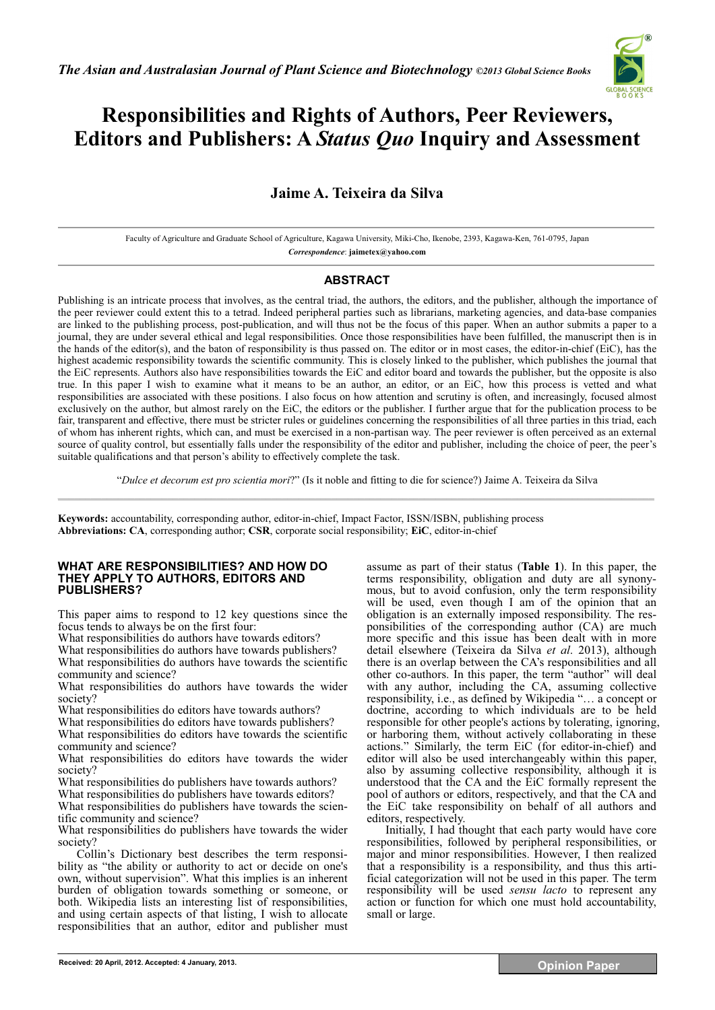*The Asian and Australasian Journal of Plant Science and Biotechnology ©2013 Global Science Books* 



# **Responsibilities and Rights of Authors, Peer Reviewers, Editors and Publishers: A** *Status Quo* **Inquiry and Assessment**

## **Jaime A. Teixeira da Silva**

Faculty of Agriculture and Graduate School of Agriculture, Kagawa University, Miki-Cho, Ikenobe, 2393, Kagawa-Ken, 761-0795, Japan *Correspondence*: **jaimetex@yahoo.com** 

## **ABSTRACT**

Publishing is an intricate process that involves, as the central triad, the authors, the editors, and the publisher, although the importance of the peer reviewer could extent this to a tetrad. Indeed peripheral parties such as librarians, marketing agencies, and data-base companies are linked to the publishing process, post-publication, and will thus not be the focus of this paper. When an author submits a paper to a journal, they are under several ethical and legal responsibilities. Once those responsibilities have been fulfilled, the manuscript then is in the hands of the editor(s), and the baton of responsibility is thus passed on. The editor or in most cases, the editor-in-chief (EiC), has the highest academic responsibility towards the scientific community. This is closely linked to the publisher, which publishes the journal that the EiC represents. Authors also have responsibilities towards the EiC and editor board and towards the publisher, but the opposite is also true. In this paper I wish to examine what it means to be an author, an editor, or an EiC, how this process is vetted and what responsibilities are associated with these positions. I also focus on how attention and scrutiny is often, and increasingly, focused almost exclusively on the author, but almost rarely on the EiC, the editors or the publisher. I further argue that for the publication process to be fair, transparent and effective, there must be stricter rules or guidelines concerning the responsibilities of all three parties in this triad, each of whom has inherent rights, which can, and must be exercised in a non-partisan way. The peer reviewer is often perceived as an external source of quality control, but essentially falls under the responsibility of the editor and publisher, including the choice of peer, the peer's suitable qualifications and that person's ability to effectively complete the task.

"*Dulce et decorum est pro scientia mori*?" (Is it noble and fitting to die for science?) Jaime A. Teixeira da Silva  $\mathcal{L}_\mathcal{L} = \mathcal{L}_\mathcal{L} = \mathcal{L}_\mathcal{L} = \mathcal{L}_\mathcal{L} = \mathcal{L}_\mathcal{L} = \mathcal{L}_\mathcal{L} = \mathcal{L}_\mathcal{L} = \mathcal{L}_\mathcal{L} = \mathcal{L}_\mathcal{L} = \mathcal{L}_\mathcal{L} = \mathcal{L}_\mathcal{L} = \mathcal{L}_\mathcal{L} = \mathcal{L}_\mathcal{L} = \mathcal{L}_\mathcal{L} = \mathcal{L}_\mathcal{L} = \mathcal{L}_\mathcal{L} = \mathcal{L}_\mathcal{L}$ 

**Keywords:** accountability, corresponding author, editor-in-chief, Impact Factor, ISSN/ISBN, publishing process **Abbreviations: CA**, corresponding author; **CSR**, corporate social responsibility; **EiC**, editor-in-chief

#### **WHAT ARE RESPONSIBILITIES? AND HOW DO THEY APPLY TO AUTHORS, EDITORS AND PUBLISHERS?**

This paper aims to respond to 12 key questions since the focus tends to always be on the first four:

What responsibilities do authors have towards editors?

What responsibilities do authors have towards publishers? What responsibilities do authors have towards the scientific community and science?

What responsibilities do authors have towards the wider society?

What responsibilities do editors have towards authors?

What responsibilities do editors have towards publishers?

What responsibilities do editors have towards the scientific community and science?

What responsibilities do editors have towards the wider society?

What responsibilities do publishers have towards authors?

What responsibilities do publishers have towards editors? What responsibilities do publishers have towards the scientific community and science?

What responsibilities do publishers have towards the wider society?

Collin's Dictionary best describes the term responsibility as "the ability or authority to act or decide on one's own, without supervision". What this implies is an inherent burden of obligation towards something or someone, or both. Wikipedia lists an interesting list of responsibilities, and using certain aspects of that listing, I wish to allocate responsibilities that an author, editor and publisher must assume as part of their status (**Table 1**). In this paper, the terms responsibility, obligation and duty are all synonymous, but to avoid confusion, only the term responsibility will be used, even though I am of the opinion that an obligation is an externally imposed responsibility. The responsibilities of the corresponding author (CA) are much more specific and this issue has been dealt with in more detail elsewhere (Teixeira da Silva *et al*. 2013), although there is an overlap between the CA's responsibilities and all other co-authors. In this paper, the term "author" will deal with any author, including the CA, assuming collective responsibility, i.e., as defined by Wikipedia "… a concept or doctrine, according to which individuals are to be held responsible for other people's actions by tolerating, ignoring, or harboring them, without actively collaborating in these actions." Similarly, the term EiC (for editor-in-chief) and editor will also be used interchangeably within this paper, also by assuming collective responsibility, although it is understood that the CA and the EiC formally represent the pool of authors or editors, respectively, and that the CA and the EiC take responsibility on behalf of all authors and editors, respectively.

Initially, I had thought that each party would have core responsibilities, followed by peripheral responsibilities, or major and minor responsibilities. However, I then realized that a responsibility is a responsibility, and thus this artificial categorization will not be used in this paper. The term responsibility will be used *sensu lacto* to represent any action or function for which one must hold accountability, small or large.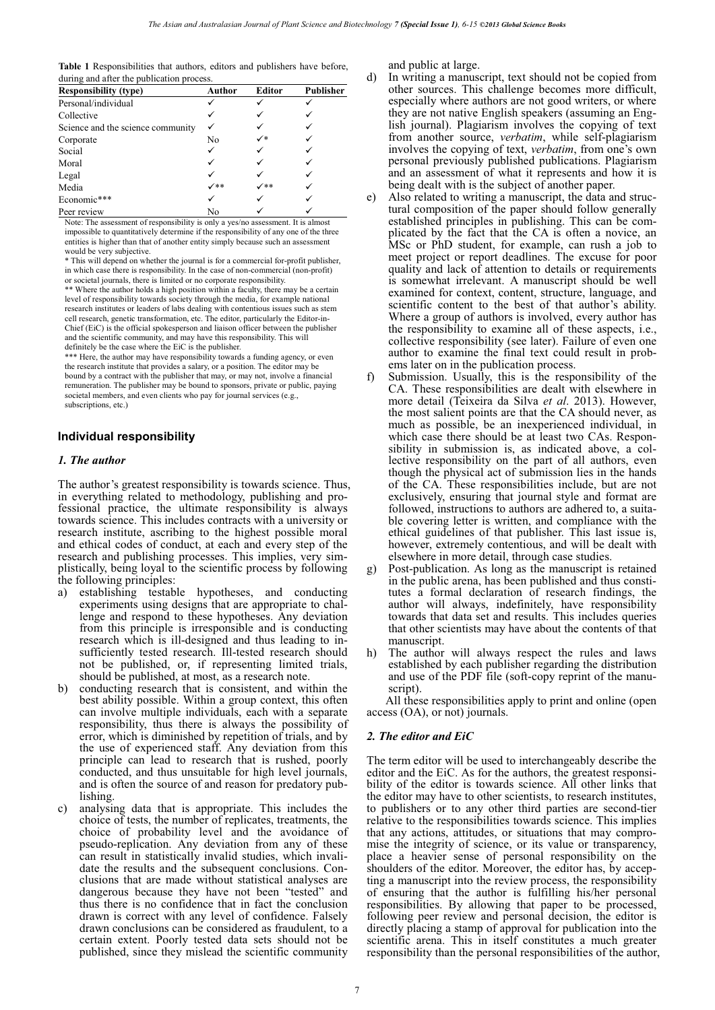**Table 1** Responsibilities that authors, editors and publishers have before, during and after the publication process.

| during and after the publication process. |                |                  |
|-------------------------------------------|----------------|------------------|
| Author                                    | Editor         | <b>Publisher</b> |
|                                           |                |                  |
|                                           |                |                  |
|                                           |                |                  |
| No                                        | $\checkmark^*$ |                  |
|                                           |                |                  |
|                                           |                |                  |
|                                           |                |                  |
| $\checkmark$                              | $\checkmark$   |                  |
|                                           |                |                  |
| No                                        |                |                  |
|                                           |                |                  |

Note: The assessment of responsibility is only a yes/no assessment. It is almost impossible to quantitatively determine if the responsibility of any one of the three entities is higher than that of another entity simply because such an assessment would be very subjective.

\* This will depend on whether the journal is for a commercial for-profit publisher, in which case there is responsibility. In the case of non-commercial (non-profit) or societal journals, there is limited or no corporate responsibility.

\*\* Where the author holds a high position within a faculty, there may be a certain level of responsibility towards society through the media, for example national research institutes or leaders of labs dealing with contentious issues such as stem cell research, genetic transformation, etc. The editor, particularly the Editor-in-Chief (EiC) is the official spokesperson and liaison officer between the publisher and the scientific community, and may have this responsibility. This will definitely be the case where the EiC is the publisher.

\*\*\* Here, the author may have responsibility towards a funding agency, or even the research institute that provides a salary, or a position. The editor may be bound by a contract with the publisher that may, or may not, involve a financial remuneration. The publisher may be bound to sponsors, private or public, paying societal members, and even clients who pay for journal services (e.g., subscriptions, etc.)

#### **Individual responsibility**

#### *1. The author*

The author's greatest responsibility is towards science. Thus, in everything related to methodology, publishing and professional practice, the ultimate responsibility is always towards science. This includes contracts with a university or research institute, ascribing to the highest possible moral and ethical codes of conduct, at each and every step of the research and publishing processes. This implies, very simplistically, being loyal to the scientific process by following the following principles:

- a) establishing testable hypotheses, and conducting experiments using designs that are appropriate to challenge and respond to these hypotheses. Any deviation from this principle is irresponsible and is conducting research which is ill-designed and thus leading to insufficiently tested research. Ill-tested research should not be published, or, if representing limited trials, should be published, at most, as a research note.
- b) conducting research that is consistent, and within the best ability possible. Within a group context, this often can involve multiple individuals, each with a separate responsibility, thus there is always the possibility of error, which is diminished by repetition of trials, and by the use of experienced staff. Any deviation from this principle can lead to research that is rushed, poorly conducted, and thus unsuitable for high level journals, and is often the source of and reason for predatory publishing.
- c) analysing data that is appropriate. This includes the choice of tests, the number of replicates, treatments, the choice of probability level and the avoidance of pseudo-replication. Any deviation from any of these can result in statistically invalid studies, which invalidate the results and the subsequent conclusions. Conclusions that are made without statistical analyses are dangerous because they have not been "tested" and thus there is no confidence that in fact the conclusion drawn is correct with any level of confidence. Falsely drawn conclusions can be considered as fraudulent, to a certain extent. Poorly tested data sets should not be published, since they mislead the scientific community

and public at large.

- d) In writing a manuscript, text should not be copied from other sources. This challenge becomes more difficult, especially where authors are not good writers, or where they are not native English speakers (assuming an English journal). Plagiarism involves the copying of text from another source, *verbatim*, while self-plagiarism involves the copying of text, *verbatim*, from one's own personal previously published publications. Plagiarism and an assessment of what it represents and how it is being dealt with is the subject of another paper.
- e) Also related to writing a manuscript, the data and structural composition of the paper should follow generally established principles in publishing. This can be complicated by the fact that the CA is often a novice, an MSc or PhD student, for example, can rush a job to meet project or report deadlines. The excuse for poor quality and lack of attention to details or requirements is somewhat irrelevant. A manuscript should be well examined for context, content, structure, language, and scientific content to the best of that author's ability. Where a group of authors is involved, every author has the responsibility to examine all of these aspects, i.e., collective responsibility (see later). Failure of even one author to examine the final text could result in probems later on in the publication process.
- f) Submission. Usually, this is the responsibility of the CA. These responsibilities are dealt with elsewhere in more detail (Teixeira da Silva *et al*. 2013). However, the most salient points are that the CA should never, as much as possible, be an inexperienced individual, in which case there should be at least two CAs. Responsibility in submission is, as indicated above, a collective responsibility on the part of all authors, even though the physical act of submission lies in the hands of the CA. These responsibilities include, but are not exclusively, ensuring that journal style and format are followed, instructions to authors are adhered to, a suitable covering letter is written, and compliance with the ethical guidelines of that publisher. This last issue is, however, extremely contentious, and will be dealt with elsewhere in more detail, through case studies.
- g) Post-publication. As long as the manuscript is retained in the public arena, has been published and thus constitutes a formal declaration of research findings, the author will always, indefinitely, have responsibility towards that data set and results. This includes queries that other scientists may have about the contents of that manuscript.
- h) The author will always respect the rules and laws established by each publisher regarding the distribution and use of the PDF file (soft-copy reprint of the manuscript).

All these responsibilities apply to print and online (open access (OA), or not) journals.

#### *2. The editor and EiC*

The term editor will be used to interchangeably describe the editor and the EiC. As for the authors, the greatest responsibility of the editor is towards science. All other links that the editor may have to other scientists, to research institutes, to publishers or to any other third parties are second-tier relative to the responsibilities towards science. This implies that any actions, attitudes, or situations that may compromise the integrity of science, or its value or transparency, place a heavier sense of personal responsibility on the shoulders of the editor. Moreover, the editor has, by accepting a manuscript into the review process, the responsibility of ensuring that the author is fulfilling his/her personal responsibilities. By allowing that paper to be processed, following peer review and personal decision, the editor is directly placing a stamp of approval for publication into the scientific arena. This in itself constitutes a much greater responsibility than the personal responsibilities of the author,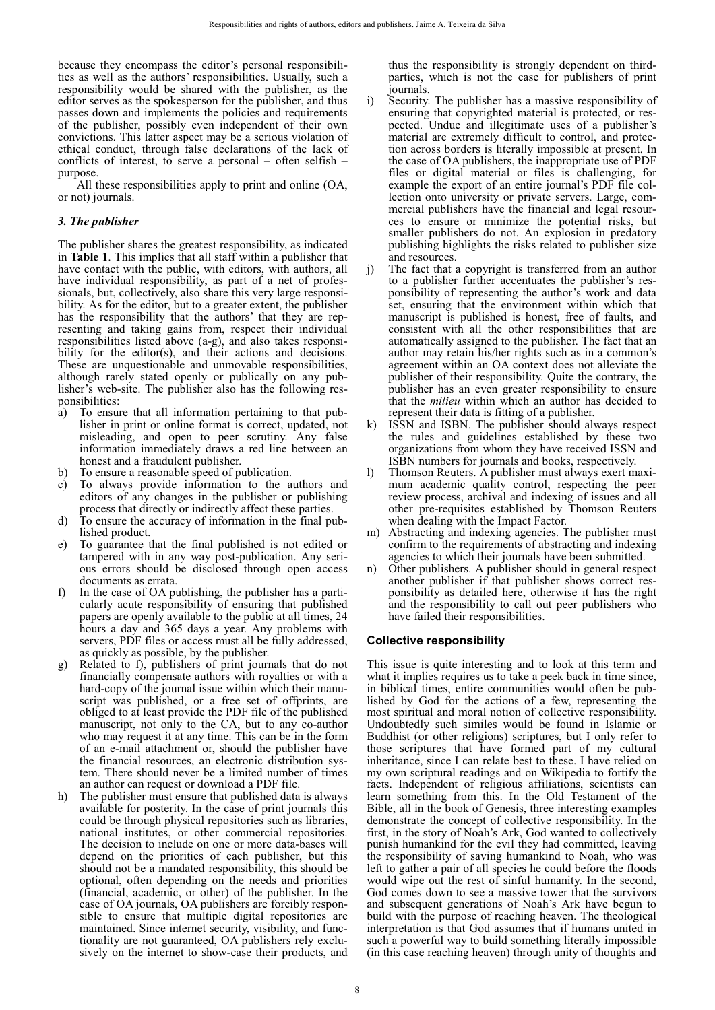because they encompass the editor's personal responsibilities as well as the authors' responsibilities. Usually, such a responsibility would be shared with the publisher, as the editor serves as the spokesperson for the publisher, and thus passes down and implements the policies and requirements of the publisher, possibly even independent of their own convictions. This latter aspect may be a serious violation of ethical conduct, through false declarations of the lack of conflicts of interest, to serve a personal – often selfish – purpose.

All these responsibilities apply to print and online (OA, or not) journals.

#### *3. The publisher*

The publisher shares the greatest responsibility, as indicated in **Table 1**. This implies that all staff within a publisher that have contact with the public, with editors, with authors, all have individual responsibility, as part of a net of professionals, but, collectively, also share this very large responsibility. As for the editor, but to a greater extent, the publisher has the responsibility that the authors' that they are representing and taking gains from, respect their individual responsibilities listed above (a-g), and also takes responsibility for the editor(s), and their actions and decisions. These are unquestionable and unmovable responsibilities, although rarely stated openly or publically on any publisher's web-site. The publisher also has the following responsibilities:

- a) To ensure that all information pertaining to that publisher in print or online format is correct, updated, not misleading, and open to peer scrutiny. Any false information immediately draws a red line between an honest and a fraudulent publisher.
- b) To ensure a reasonable speed of publication.
- c) To always provide information to the authors and editors of any changes in the publisher or publishing process that directly or indirectly affect these parties.
- d) To ensure the accuracy of information in the final published product.
- To guarantee that the final published is not edited or tampered with in any way post-publication. Any serious errors should be disclosed through open access documents as errata.
- f) In the case of OA publishing, the publisher has a particularly acute responsibility of ensuring that published papers are openly available to the public at all times, 24 hours a day and 365 days a year. Any problems with servers, PDF files or access must all be fully addressed, as quickly as possible, by the publisher.
- g) Related to f), publishers of print journals that do not financially compensate authors with royalties or with a hard-copy of the journal issue within which their manuscript was published, or a free set of offprints, are obliged to at least provide the PDF file of the published manuscript, not only to the CA, but to any co-author who may request it at any time. This can be in the form of an e-mail attachment or, should the publisher have the financial resources, an electronic distribution system. There should never be a limited number of times an author can request or download a PDF file.
- h) The publisher must ensure that published data is always available for posterity. In the case of print journals this could be through physical repositories such as libraries, national institutes, or other commercial repositories. The decision to include on one or more data-bases will depend on the priorities of each publisher, but this should not be a mandated responsibility, this should be optional, often depending on the needs and priorities (financial, academic, or other) of the publisher. In the case of OA journals, OA publishers are forcibly responsible to ensure that multiple digital repositories are maintained. Since internet security, visibility, and functionality are not guaranteed, OA publishers rely exclusively on the internet to show-case their products, and

thus the responsibility is strongly dependent on thirdparties, which is not the case for publishers of print journals.

- i) Security. The publisher has a massive responsibility of ensuring that copyrighted material is protected, or respected. Undue and illegitimate uses of a publisher's material are extremely difficult to control, and protection across borders is literally impossible at present. In the case of OA publishers, the inappropriate use of PDF files or digital material or files is challenging, for example the export of an entire journal's PDF file collection onto university or private servers. Large, commercial publishers have the financial and legal resources to ensure or minimize the potential risks, but smaller publishers do not. An explosion in predatory publishing highlights the risks related to publisher size and resources.
- j) The fact that a copyright is transferred from an author to a publisher further accentuates the publisher's responsibility of representing the author's work and data set, ensuring that the environment within which that manuscript is published is honest, free of faults, and consistent with all the other responsibilities that are automatically assigned to the publisher. The fact that an author may retain his/her rights such as in a common's agreement within an OA context does not alleviate the publisher of their responsibility. Quite the contrary, the publisher has an even greater responsibility to ensure that the *milieu* within which an author has decided to represent their data is fitting of a publisher.
- k) ISSN and ISBN. The publisher should always respect the rules and guidelines established by these two organizations from whom they have received ISSN and ISBN numbers for journals and books, respectively.
- l) Thomson Reuters. A publisher must always exert maximum academic quality control, respecting the peer review process, archival and indexing of issues and all other pre-requisites established by Thomson Reuters when dealing with the Impact Factor.
- m) Abstracting and indexing agencies. The publisher must confirm to the requirements of abstracting and indexing agencies to which their journals have been submitted.
- n) Other publishers. A publisher should in general respect another publisher if that publisher shows correct responsibility as detailed here, otherwise it has the right and the responsibility to call out peer publishers who have failed their responsibilities.

## **Collective responsibility**

This issue is quite interesting and to look at this term and what it implies requires us to take a peek back in time since, in biblical times, entire communities would often be published by God for the actions of a few, representing the most spiritual and moral notion of collective responsibility. Undoubtedly such similes would be found in Islamic or Buddhist (or other religions) scriptures, but I only refer to those scriptures that have formed part of my cultural inheritance, since I can relate best to these. I have relied on my own scriptural readings and on Wikipedia to fortify the facts. Independent of religious affiliations, scientists can learn something from this. In the Old Testament of the Bible, all in the book of Genesis, three interesting examples demonstrate the concept of collective responsibility. In the first, in the story of Noah's Ark, God wanted to collectively punish humankind for the evil they had committed, leaving the responsibility of saving humankind to Noah, who was left to gather a pair of all species he could before the floods would wipe out the rest of sinful humanity. In the second, God comes down to see a massive tower that the survivors and subsequent generations of Noah's Ark have begun to build with the purpose of reaching heaven. The theological interpretation is that God assumes that if humans united in such a powerful way to build something literally impossible (in this case reaching heaven) through unity of thoughts and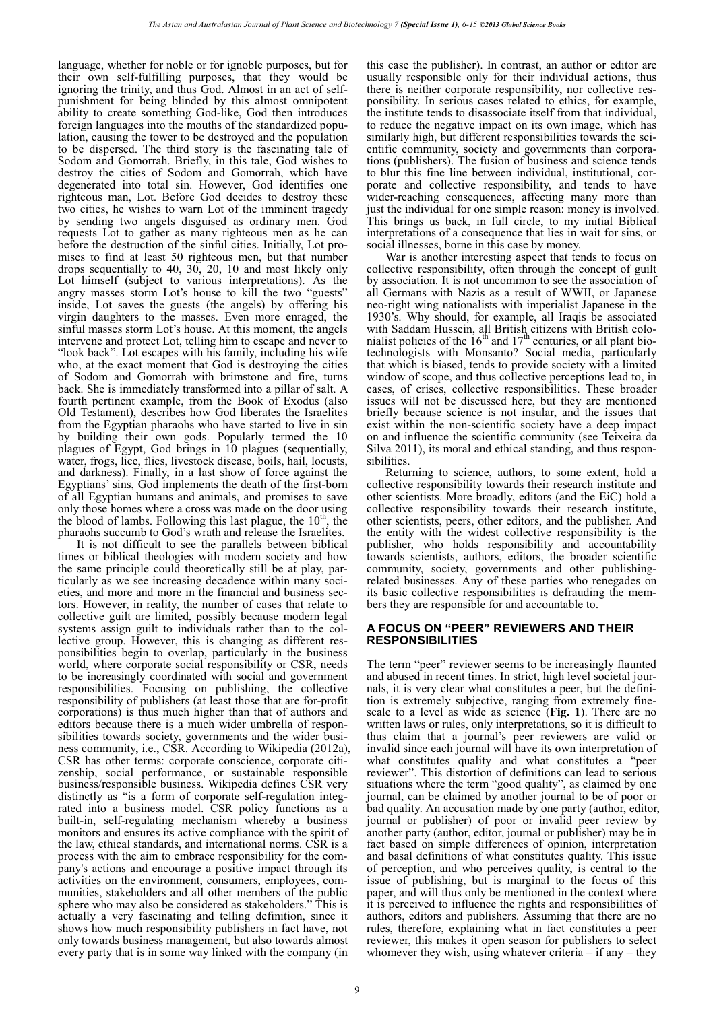language, whether for noble or for ignoble purposes, but for their own self-fulfilling purposes, that they would be ignoring the trinity, and thus God. Almost in an act of selfpunishment for being blinded by this almost omnipotent ability to create something God-like, God then introduces foreign languages into the mouths of the standardized population, causing the tower to be destroyed and the population to be dispersed. The third story is the fascinating tale of Sodom and Gomorrah. Briefly, in this tale, God wishes to destroy the cities of Sodom and Gomorrah, which have degenerated into total sin. However, God identifies one righteous man, Lot. Before God decides to destroy these two cities, he wishes to warn Lot of the imminent tragedy by sending two angels disguised as ordinary men. God requests Lot to gather as many righteous men as he can before the destruction of the sinful cities. Initially, Lot promises to find at least 50 righteous men, but that number drops sequentially to 40, 30, 20, 10 and most likely only Lot himself (subject to various interpretations). As the angry masses storm Lot's house to kill the two "guests" inside, Lot saves the guests (the angels) by offering his virgin daughters to the masses. Even more enraged, the sinful masses storm Lot's house. At this moment, the angels intervene and protect Lot, telling him to escape and never to "look back". Lot escapes with his family, including his wife who, at the exact moment that God is destroying the cities of Sodom and Gomorrah with brimstone and fire, turns back. She is immediately transformed into a pillar of salt. A fourth pertinent example, from the Book of Exodus (also Old Testament), describes how God liberates the Israelites from the Egyptian pharaohs who have started to live in sin by building their own gods. Popularly termed the 10 plagues of Egypt, God brings in 10 plagues (sequentially, water, frogs, lice, flies, livestock disease, boils, hail, locusts, and darkness). Finally, in a last show of force against the Egyptians' sins, God implements the death of the first-born of all Egyptian humans and animals, and promises to save only those homes where a cross was made on the door using the blood of lambs. Following this last plague, the  $10<sup>th</sup>$ , the pharaohs succumb to God's wrath and release the Israelites.

It is not difficult to see the parallels between biblical times or biblical theologies with modern society and how the same principle could theoretically still be at play, particularly as we see increasing decadence within many societies, and more and more in the financial and business sectors. However, in reality, the number of cases that relate to collective guilt are limited, possibly because modern legal systems assign guilt to individuals rather than to the collective group. However, this is changing as different responsibilities begin to overlap, particularly in the business world, where corporate social responsibility or CSR, needs to be increasingly coordinated with social and government responsibilities. Focusing on publishing, the collective responsibility of publishers (at least those that are for-profit corporations) is thus much higher than that of authors and editors because there is a much wider umbrella of responsibilities towards society, governments and the wider business community, i.e., CSR. According to Wikipedia (2012a), CSR has other terms: corporate conscience, corporate citizenship, social performance, or sustainable responsible business/responsible business. Wikipedia defines CSR very distinctly as "is a form of corporate self-regulation integrated into a business model. CSR policy functions as a built-in, self-regulating mechanism whereby a business monitors and ensures its active compliance with the spirit of the law, ethical standards, and international norms. CSR is a process with the aim to embrace responsibility for the company's actions and encourage a positive impact through its activities on the environment, consumers, employees, communities, stakeholders and all other members of the public sphere who may also be considered as stakeholders." This is actually a very fascinating and telling definition, since it shows how much responsibility publishers in fact have, not only towards business management, but also towards almost every party that is in some way linked with the company (in

this case the publisher). In contrast, an author or editor are usually responsible only for their individual actions, thus there is neither corporate responsibility, nor collective responsibility. In serious cases related to ethics, for example, the institute tends to disassociate itself from that individual, to reduce the negative impact on its own image, which has similarly high, but different responsibilities towards the scientific community, society and governments than corporations (publishers). The fusion of business and science tends to blur this fine line between individual, institutional, corporate and collective responsibility, and tends to have wider-reaching consequences, affecting many more than just the individual for one simple reason: money is involved. This brings us back, in full circle, to my initial Biblical interpretations of a consequence that lies in wait for sins, or social illnesses, borne in this case by money.

War is another interesting aspect that tends to focus on collective responsibility, often through the concept of guilt by association. It is not uncommon to see the association of all Germans with Nazis as a result of WWII, or Japanese neo-right wing nationalists with imperialist Japanese in the 1930's. Why should, for example, all Iraqis be associated with Saddam Hussein, all British citizens with British colonialist policies of the  $16<sup>th</sup>$  and  $17<sup>th</sup>$  centuries, or all plant biotechnologists with Monsanto? Social media, particularly that which is biased, tends to provide society with a limited window of scope, and thus collective perceptions lead to, in cases, of crises, collective responsibilities. These broader issues will not be discussed here, but they are mentioned briefly because science is not insular, and the issues that exist within the non-scientific society have a deep impact on and influence the scientific community (see Teixeira da Silva 2011), its moral and ethical standing, and thus responsibilities.

Returning to science, authors, to some extent, hold a collective responsibility towards their research institute and other scientists. More broadly, editors (and the EiC) hold a collective responsibility towards their research institute, other scientists, peers, other editors, and the publisher. And the entity with the widest collective responsibility is the publisher, who holds responsibility and accountability towards scientists, authors, editors, the broader scientific community, society, governments and other publishingrelated businesses. Any of these parties who renegades on its basic collective responsibilities is defrauding the members they are responsible for and accountable to.

## **A FOCUS ON "PEER" REVIEWERS AND THEIR RESPONSIBILITIES**

The term "peer" reviewer seems to be increasingly flaunted and abused in recent times. In strict, high level societal journals, it is very clear what constitutes a peer, but the definition is extremely subjective, ranging from extremely finescale to a level as wide as science (**Fig. 1**). There are no written laws or rules, only interpretations, so it is difficult to thus claim that a journal's peer reviewers are valid or invalid since each journal will have its own interpretation of what constitutes quality and what constitutes a "peer reviewer". This distortion of definitions can lead to serious situations where the term "good quality", as claimed by one journal, can be claimed by another journal to be of poor or bad quality. An accusation made by one party (author, editor, journal or publisher) of poor or invalid peer review by another party (author, editor, journal or publisher) may be in fact based on simple differences of opinion, interpretation and basal definitions of what constitutes quality. This issue of perception, and who perceives quality, is central to the issue of publishing, but is marginal to the focus of this paper, and will thus only be mentioned in the context where it is perceived to influence the rights and responsibilities of authors, editors and publishers. Assuming that there are no rules, therefore, explaining what in fact constitutes a peer reviewer, this makes it open season for publishers to select whomever they wish, using whatever criteria  $-$  if any  $-$  they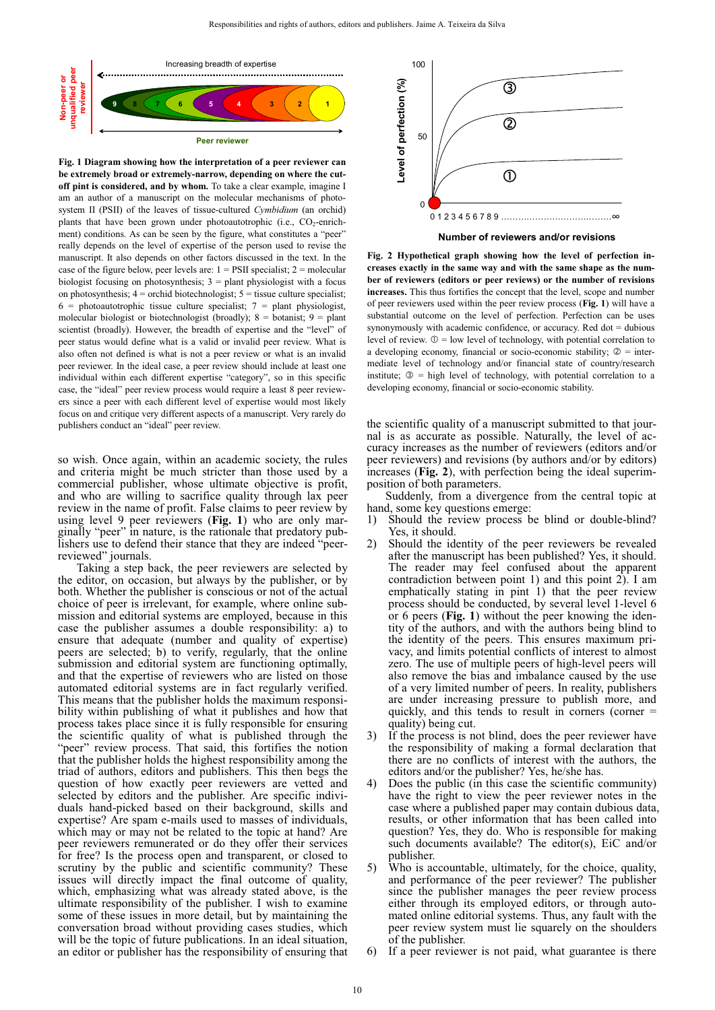

**Fig. 1 Diagram showing how the interpretation of a peer reviewer can be extremely broad or extremely-narrow, depending on where the cutoff pint is considered, and by whom.** To take a clear example, imagine I am an author of a manuscript on the molecular mechanisms of photosystem II (PSII) of the leaves of tissue-cultured *Cymbidium* (an orchid) plants that have been grown under photoautotrophic (i.e.,  $CO<sub>2</sub>$ -enrichment) conditions. As can be seen by the figure, what constitutes a "peer" really depends on the level of expertise of the person used to revise the manuscript. It also depends on other factors discussed in the text. In the case of the figure below, peer levels are:  $1 = \text{PSII}$  specialist;  $2 = \text{molecular}$ biologist focusing on photosynthesis;  $3 =$  plant physiologist with a focus on photosynthesis;  $4 =$  orchid biotechnologist;  $5 =$  tissue culture specialist;  $6 =$  photoautotrophic tissue culture specialist;  $7 =$  plant physiologist, molecular biologist or biotechnologist (broadly);  $8 =$  botanist;  $9 =$  plant scientist (broadly). However, the breadth of expertise and the "level" of peer status would define what is a valid or invalid peer review. What is also often not defined is what is not a peer review or what is an invalid peer reviewer. In the ideal case, a peer review should include at least one individual within each different expertise "category", so in this specific case, the "ideal" peer review process would require a least 8 peer reviewers since a peer with each different level of expertise would most likely focus on and critique very different aspects of a manuscript. Very rarely do publishers conduct an "ideal" peer review.

so wish. Once again, within an academic society, the rules and criteria might be much stricter than those used by a commercial publisher, whose ultimate objective is profit, and who are willing to sacrifice quality through lax peer review in the name of profit. False claims to peer review by using level 9 peer reviewers (**Fig. 1**) who are only marginally "peer" in nature, is the rationale that predatory publishers use to defend their stance that they are indeed "peerreviewed" journals.

Taking a step back, the peer reviewers are selected by the editor, on occasion, but always by the publisher, or by both. Whether the publisher is conscious or not of the actual choice of peer is irrelevant, for example, where online submission and editorial systems are employed, because in this case the publisher assumes a double responsibility: a) to ensure that adequate (number and quality of expertise) peers are selected; b) to verify, regularly, that the online submission and editorial system are functioning optimally. and that the expertise of reviewers who are listed on those automated editorial systems are in fact regularly verified. This means that the publisher holds the maximum responsibility within publishing of what it publishes and how that process takes place since it is fully responsible for ensuring the scientific quality of what is published through the "peer" review process. That said, this fortifies the notion that the publisher holds the highest responsibility among the triad of authors, editors and publishers. This then begs the question of how exactly peer reviewers are vetted and selected by editors and the publisher. Are specific individuals hand-picked based on their background, skills and expertise? Are spam e-mails used to masses of individuals, which may or may not be related to the topic at hand? Are peer reviewers remunerated or do they offer their services for free? Is the process open and transparent, or closed to scrutiny by the public and scientific community? These issues will directly impact the final outcome of quality, which, emphasizing what was already stated above, is the ultimate responsibility of the publisher. I wish to examine some of these issues in more detail, but by maintaining the conversation broad without providing cases studies, which will be the topic of future publications. In an ideal situation, an editor or publisher has the responsibility of ensuring that



**Number of reviewers and/or revisions**

**Fig. 2 Hypothetical graph showing how the level of perfection increases exactly in the same way and with the same shape as the number of reviewers (editors or peer reviews) or the number of revisions increases.** This thus fortifies the concept that the level, scope and number of peer reviewers used within the peer review process (**Fig. 1**) will have a substantial outcome on the level of perfection. Perfection can be uses synonymously with academic confidence, or accuracy. Red dot  $=$  dubious level of review.  $\mathbb{D} =$  low level of technology, with potential correlation to a developing economy, financial or socio-economic stability;  $\mathcal{Q} =$  intermediate level of technology and/or financial state of country/research institute;  $\mathcal{D}$  = high level of technology, with potential correlation to a developing economy, financial or socio-economic stability.

the scientific quality of a manuscript submitted to that journal is as accurate as possible. Naturally, the level of accuracy increases as the number of reviewers (editors and/or peer reviewers) and revisions (by authors and/or by editors) increases (**Fig. 2**), with perfection being the ideal superimposition of both parameters.

Suddenly, from a divergence from the central topic at hand, some key questions emerge:

- 1) Should the review process be blind or double-blind? Yes, it should.
- 2) Should the identity of the peer reviewers be revealed after the manuscript has been published? Yes, it should. The reader may feel confused about the apparent contradiction between point 1) and this point 2). I am emphatically stating in pint 1) that the peer review process should be conducted, by several level 1-level 6 or 6 peers (**Fig. 1**) without the peer knowing the identity of the authors, and with the authors being blind to the identity of the peers. This ensures maximum privacy, and limits potential conflicts of interest to almost zero. The use of multiple peers of high-level peers will also remove the bias and imbalance caused by the use of a very limited number of peers. In reality, publishers are under increasing pressure to publish more, and quickly, and this tends to result in corners (corner = quality) being cut.
- 3) If the process is not blind, does the peer reviewer have the responsibility of making a formal declaration that there are no conflicts of interest with the authors, the editors and/or the publisher? Yes, he/she has.
- Does the public (in this case the scientific community) have the right to view the peer reviewer notes in the case where a published paper may contain dubious data, results, or other information that has been called into question? Yes, they do. Who is responsible for making such documents available? The editor(s), EiC and/or publisher.
- 5) Who is accountable, ultimately, for the choice, quality, and performance of the peer reviewer? The publisher since the publisher manages the peer review process either through its employed editors, or through automated online editorial systems. Thus, any fault with the peer review system must lie squarely on the shoulders of the publisher.
- 6) If a peer reviewer is not paid, what guarantee is there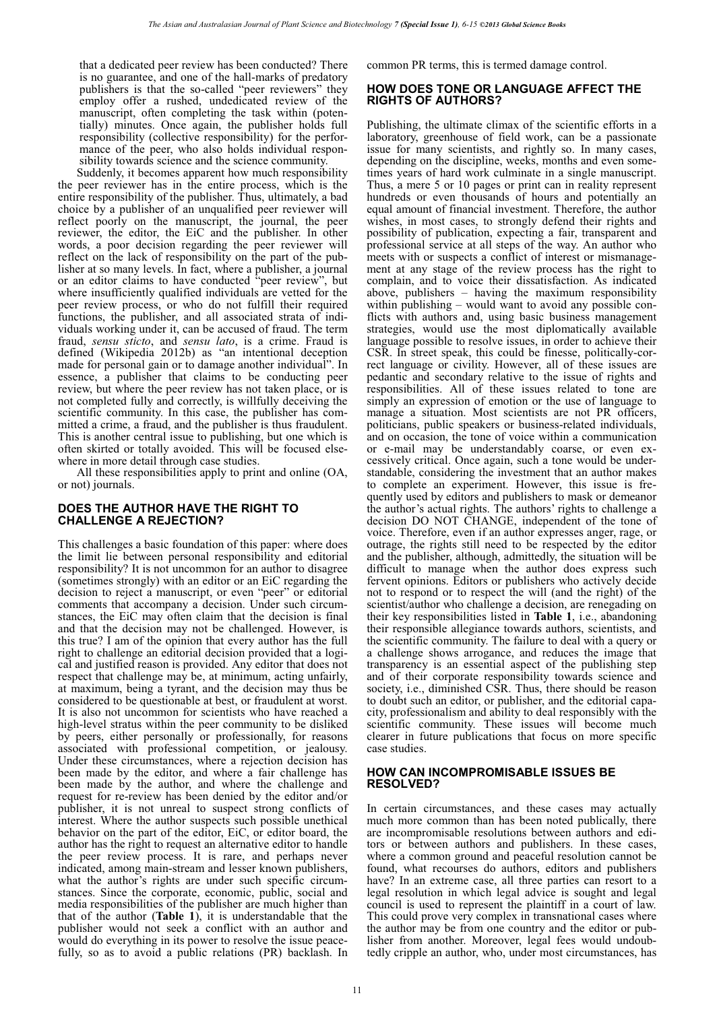that a dedicated peer review has been conducted? There is no guarantee, and one of the hall-marks of predatory publishers is that the so-called "peer reviewers" they employ offer a rushed, undedicated review of the manuscript, often completing the task within (potentially) minutes. Once again, the publisher holds full responsibility (collective responsibility) for the performance of the peer, who also holds individual responsibility towards science and the science community.

Suddenly, it becomes apparent how much responsibility the peer reviewer has in the entire process, which is the entire responsibility of the publisher. Thus, ultimately, a bad choice by a publisher of an unqualified peer reviewer will reflect poorly on the manuscript, the journal, the peer reviewer, the editor, the EiC and the publisher. In other words, a poor decision regarding the peer reviewer will reflect on the lack of responsibility on the part of the publisher at so many levels. In fact, where a publisher, a journal or an editor claims to have conducted "peer review", but where insufficiently qualified individuals are vetted for the peer review process, or who do not fulfill their required functions, the publisher, and all associated strata of individuals working under it, can be accused of fraud. The term fraud, *sensu sticto*, and *sensu lato*, is a crime. Fraud is defined (Wikipedia 2012b) as "an intentional deception made for personal gain or to damage another individual". In essence, a publisher that claims to be conducting peer review, but where the peer review has not taken place, or is not completed fully and correctly, is willfully deceiving the scientific community. In this case, the publisher has committed a crime, a fraud, and the publisher is thus fraudulent. This is another central issue to publishing, but one which is often skirted or totally avoided. This will be focused elsewhere in more detail through case studies.

All these responsibilities apply to print and online (OA, or not) journals.

## **DOES THE AUTHOR HAVE THE RIGHT TO CHALLENGE A REJECTION?**

This challenges a basic foundation of this paper: where does the limit lie between personal responsibility and editorial responsibility? It is not uncommon for an author to disagree (sometimes strongly) with an editor or an EiC regarding the decision to reject a manuscript, or even "peer" or editorial comments that accompany a decision. Under such circumstances, the EiC may often claim that the decision is final and that the decision may not be challenged. However, is this true? I am of the opinion that every author has the full right to challenge an editorial decision provided that a logical and justified reason is provided. Any editor that does not respect that challenge may be, at minimum, acting unfairly, at maximum, being a tyrant, and the decision may thus be considered to be questionable at best, or fraudulent at worst. It is also not uncommon for scientists who have reached a high-level stratus within the peer community to be disliked by peers, either personally or professionally, for reasons associated with professional competition, or jealousy. Under these circumstances, where a rejection decision has been made by the editor, and where a fair challenge has been made by the author, and where the challenge and request for re-review has been denied by the editor and/or publisher, it is not unreal to suspect strong conflicts of interest. Where the author suspects such possible unethical behavior on the part of the editor, EiC, or editor board, the author has the right to request an alternative editor to handle the peer review process. It is rare, and perhaps never indicated, among main-stream and lesser known publishers, what the author's rights are under such specific circumstances. Since the corporate, economic, public, social and media responsibilities of the publisher are much higher than that of the author (**Table 1**), it is understandable that the publisher would not seek a conflict with an author and would do everything in its power to resolve the issue peacefully, so as to avoid a public relations (PR) backlash. In common PR terms, this is termed damage control.

## **HOW DOES TONE OR LANGUAGE AFFECT THE RIGHTS OF AUTHORS?**

Publishing, the ultimate climax of the scientific efforts in a laboratory, greenhouse of field work, can be a passionate issue for many scientists, and rightly so. In many cases, depending on the discipline, weeks, months and even sometimes years of hard work culminate in a single manuscript. Thus, a mere 5 or 10 pages or print can in reality represent hundreds or even thousands of hours and potentially an equal amount of financial investment. Therefore, the author wishes, in most cases, to strongly defend their rights and possibility of publication, expecting a fair, transparent and professional service at all steps of the way. An author who meets with or suspects a conflict of interest or mismanagement at any stage of the review process has the right to complain, and to voice their dissatisfaction. As indicated above, publishers – having the maximum responsibility within publishing – would want to avoid any possible conflicts with authors and, using basic business management strategies, would use the most diplomatically available language possible to resolve issues, in order to achieve their CSR. In street speak, this could be finesse, politically-correct language or civility. However, all of these issues are pedantic and secondary relative to the issue of rights and responsibilities. All of these issues related to tone are simply an expression of emotion or the use of language to manage a situation. Most scientists are not PR officers, politicians, public speakers or business-related individuals, and on occasion, the tone of voice within a communication or e-mail may be understandably coarse, or even excessively critical. Once again, such a tone would be understandable, considering the investment that an author makes to complete an experiment. However, this issue is frequently used by editors and publishers to mask or demeanor the author's actual rights. The authors' rights to challenge a decision DO NOT CHANGE, independent of the tone of voice. Therefore, even if an author expresses anger, rage, or outrage, the rights still need to be respected by the editor and the publisher, although, admittedly, the situation will be difficult to manage when the author does express such fervent opinions. Editors or publishers who actively decide not to respond or to respect the will (and the right) of the scientist/author who challenge a decision, are renegading on their key responsibilities listed in **Table 1**, i.e., abandoning their responsible allegiance towards authors, scientists, and the scientific community. The failure to deal with a query or a challenge shows arrogance, and reduces the image that transparency is an essential aspect of the publishing step and of their corporate responsibility towards science and society, i.e., diminished CSR. Thus, there should be reason to doubt such an editor, or publisher, and the editorial capacity, professionalism and ability to deal responsibly with the scientific community. These issues will become much clearer in future publications that focus on more specific case studies.

## **HOW CAN INCOMPROMISABLE ISSUES BE RESOLVED?**

In certain circumstances, and these cases may actually much more common than has been noted publically, there are incompromisable resolutions between authors and editors or between authors and publishers. In these cases, where a common ground and peaceful resolution cannot be found, what recourses do authors, editors and publishers have? In an extreme case, all three parties can resort to a legal resolution in which legal advice is sought and legal council is used to represent the plaintiff in a court of law. This could prove very complex in transnational cases where the author may be from one country and the editor or publisher from another. Moreover, legal fees would undoubtedly cripple an author, who, under most circumstances, has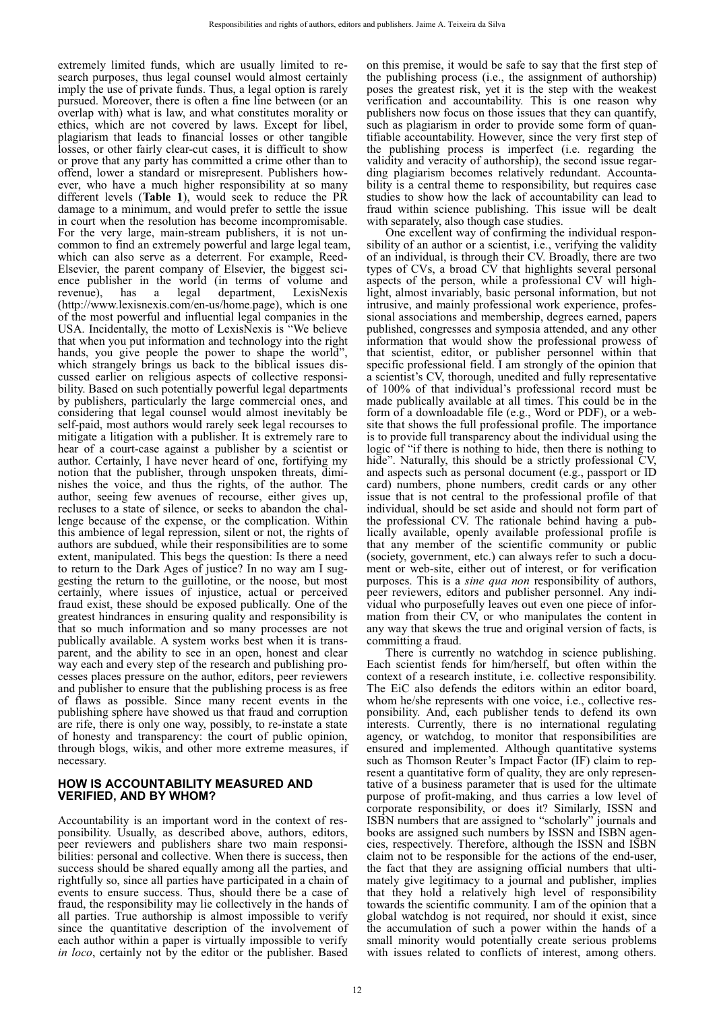extremely limited funds, which are usually limited to research purposes, thus legal counsel would almost certainly imply the use of private funds. Thus, a legal option is rarely pursued. Moreover, there is often a fine line between (or an overlap with) what is law, and what constitutes morality or ethics, which are not covered by laws. Except for libel, plagiarism that leads to financial losses or other tangible losses, or other fairly clear-cut cases, it is difficult to show or prove that any party has committed a crime other than to offend, lower a standard or misrepresent. Publishers however, who have a much higher responsibility at so many different levels (**Table 1**), would seek to reduce the PR damage to a minimum, and would prefer to settle the issue in court when the resolution has become incompromisable. For the very large, main-stream publishers, it is not uncommon to find an extremely powerful and large legal team, which can also serve as a deterrent. For example, Reed-Elsevier, the parent company of Elsevier, the biggest science publisher in the world (in terms of volume and revenue), has a legal department, LexisNexis revenue), has a legal department, (http://www.lexisnexis.com/en-us/home.page), which is one of the most powerful and influential legal companies in the USA. Incidentally, the motto of LexisNexis is "We believe that when you put information and technology into the right hands, you give people the power to shape the world", which strangely brings us back to the biblical issues discussed earlier on religious aspects of collective responsibility. Based on such potentially powerful legal departments by publishers, particularly the large commercial ones, and considering that legal counsel would almost inevitably be self-paid, most authors would rarely seek legal recourses to mitigate a litigation with a publisher. It is extremely rare to hear of a court-case against a publisher by a scientist or author. Certainly, I have never heard of one, fortifying my notion that the publisher, through unspoken threats, diminishes the voice, and thus the rights, of the author. The author, seeing few avenues of recourse, either gives up, recluses to a state of silence, or seeks to abandon the challenge because of the expense, or the complication. Within this ambience of legal repression, silent or not, the rights of authors are subdued, while their responsibilities are to some extent, manipulated. This begs the question: Is there a need to return to the Dark Ages of justice? In no way am I suggesting the return to the guillotine, or the noose, but most certainly, where issues of injustice, actual or perceived fraud exist, these should be exposed publically. One of the greatest hindrances in ensuring quality and responsibility is that so much information and so many processes are not publically available. A system works best when it is transparent, and the ability to see in an open, honest and clear way each and every step of the research and publishing processes places pressure on the author, editors, peer reviewers and publisher to ensure that the publishing process is as free of flaws as possible. Since many recent events in the publishing sphere have showed us that fraud and corruption are rife, there is only one way, possibly, to re-instate a state of honesty and transparency: the court of public opinion, through blogs, wikis, and other more extreme measures, if necessary.

## **HOW IS ACCOUNTABILITY MEASURED AND VERIFIED, AND BY WHOM?**

Accountability is an important word in the context of responsibility. Usually, as described above, authors, editors, peer reviewers and publishers share two main responsibilities: personal and collective. When there is success, then success should be shared equally among all the parties, and rightfully so, since all parties have participated in a chain of events to ensure success. Thus, should there be a case of fraud, the responsibility may lie collectively in the hands of all parties. True authorship is almost impossible to verify since the quantitative description of the involvement of each author within a paper is virtually impossible to verify *in loco*, certainly not by the editor or the publisher. Based on this premise, it would be safe to say that the first step of the publishing process (i.e., the assignment of authorship) poses the greatest risk, yet it is the step with the weakest verification and accountability. This is one reason why publishers now focus on those issues that they can quantify, such as plagiarism in order to provide some form of quantifiable accountability. However, since the very first step of the publishing process is imperfect (i.e. regarding the validity and veracity of authorship), the second issue regarding plagiarism becomes relatively redundant. Accountability is a central theme to responsibility, but requires case studies to show how the lack of accountability can lead to fraud within science publishing. This issue will be dealt with separately, also though case studies.

One excellent way of confirming the individual responsibility of an author or a scientist, i.e., verifying the validity of an individual, is through their CV. Broadly, there are two types of CVs, a broad CV that highlights several personal aspects of the person, while a professional CV will highlight, almost invariably, basic personal information, but not intrusive, and mainly professional work experience, professional associations and membership, degrees earned, papers published, congresses and symposia attended, and any other information that would show the professional prowess of that scientist, editor, or publisher personnel within that specific professional field. I am strongly of the opinion that a scientist's CV, thorough, unedited and fully representative of 100% of that individual's professional record must be made publically available at all times. This could be in the form of a downloadable file (e.g., Word or PDF), or a website that shows the full professional profile. The importance is to provide full transparency about the individual using the logic of "if there is nothing to hide, then there is nothing to hide". Naturally, this should be a strictly professional CV, and aspects such as personal document (e.g., passport or ID card) numbers, phone numbers, credit cards or any other issue that is not central to the professional profile of that individual, should be set aside and should not form part of the professional CV. The rationale behind having a publically available, openly available professional profile is that any member of the scientific community or public (society, government, etc.) can always refer to such a document or web-site, either out of interest, or for verification purposes. This is a *sine qua non* responsibility of authors, peer reviewers, editors and publisher personnel. Any individual who purposefully leaves out even one piece of information from their CV, or who manipulates the content in any way that skews the true and original version of facts, is committing a fraud.

There is currently no watchdog in science publishing. Each scientist fends for him/herself, but often within the context of a research institute, i.e. collective responsibility. The EiC also defends the editors within an editor board, whom he/she represents with one voice, i.e., collective responsibility. And, each publisher tends to defend its own interests. Currently, there is no international regulating agency, or watchdog, to monitor that responsibilities are ensured and implemented. Although quantitative systems such as Thomson Reuter's Impact Factor (IF) claim to represent a quantitative form of quality, they are only representative of a business parameter that is used for the ultimate purpose of profit-making, and thus carries a low level of corporate responsibility, or does it? Similarly, ISSN and ISBN numbers that are assigned to "scholarly" journals and books are assigned such numbers by ISSN and ISBN agencies, respectively. Therefore, although the ISSN and ISBN claim not to be responsible for the actions of the end-user, the fact that they are assigning official numbers that ultimately give legitimacy to a journal and publisher, implies that they hold a relatively high level of responsibility towards the scientific community. I am of the opinion that a global watchdog is not required, nor should it exist, since the accumulation of such a power within the hands of a small minority would potentially create serious problems with issues related to conflicts of interest, among others.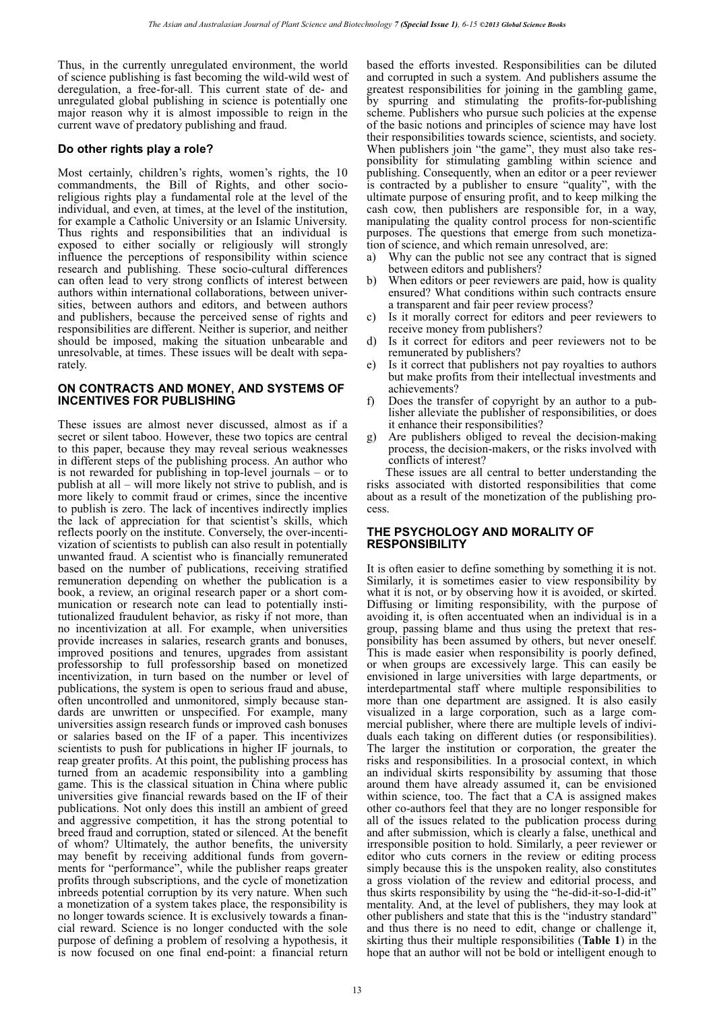Thus, in the currently unregulated environment, the world of science publishing is fast becoming the wild-wild west of deregulation, a free-for-all. This current state of de- and unregulated global publishing in science is potentially one major reason why it is almost impossible to reign in the current wave of predatory publishing and fraud.

## **Do other rights play a role?**

Most certainly, children's rights, women's rights, the 10 commandments, the Bill of Rights, and other socioreligious rights play a fundamental role at the level of the individual, and even, at times, at the level of the institution, for example a Catholic University or an Islamic University. Thus rights and responsibilities that an individual is exposed to either socially or religiously will strongly influence the perceptions of responsibility within science research and publishing. These socio-cultural differences can often lead to very strong conflicts of interest between authors within international collaborations, between universities, between authors and editors, and between authors and publishers, because the perceived sense of rights and responsibilities are different. Neither is superior, and neither should be imposed, making the situation unbearable and unresolvable, at times. These issues will be dealt with separately.

## **ON CONTRACTS AND MONEY, AND SYSTEMS OF INCENTIVES FOR PUBLISHING**

These issues are almost never discussed, almost as if a secret or silent taboo. However, these two topics are central to this paper, because they may reveal serious weaknesses in different steps of the publishing process. An author who is not rewarded for publishing in top-level journals – or to publish at all – will more likely not strive to publish, and is more likely to commit fraud or crimes, since the incentive to publish is zero. The lack of incentives indirectly implies the lack of appreciation for that scientist's skills, which reflects poorly on the institute. Conversely, the over-incentivization of scientists to publish can also result in potentially unwanted fraud. A scientist who is financially remunerated based on the number of publications, receiving stratified remuneration depending on whether the publication is a book, a review, an original research paper or a short communication or research note can lead to potentially institutionalized fraudulent behavior, as risky if not more, than no incentivization at all. For example, when universities provide increases in salaries, research grants and bonuses, improved positions and tenures, upgrades from assistant professorship to full professorship based on monetized incentivization, in turn based on the number or level of publications, the system is open to serious fraud and abuse, often uncontrolled and unmonitored, simply because standards are unwritten or unspecified. For example, many universities assign research funds or improved cash bonuses or salaries based on the IF of a paper. This incentivizes scientists to push for publications in higher IF journals, to reap greater profits. At this point, the publishing process has turned from an academic responsibility into a gambling game. This is the classical situation in China where public universities give financial rewards based on the IF of their publications. Not only does this instill an ambient of greed and aggressive competition, it has the strong potential to breed fraud and corruption, stated or silenced. At the benefit of whom? Ultimately, the author benefits, the university may benefit by receiving additional funds from governments for "performance", while the publisher reaps greater profits through subscriptions, and the cycle of monetization inbreeds potential corruption by its very nature. When such a monetization of a system takes place, the responsibility is no longer towards science. It is exclusively towards a financial reward. Science is no longer conducted with the sole purpose of defining a problem of resolving a hypothesis, it is now focused on one final end-point: a financial return

based the efforts invested. Responsibilities can be diluted and corrupted in such a system. And publishers assume the greatest responsibilities for joining in the gambling game, by spurring and stimulating the profits-for-publishing scheme. Publishers who pursue such policies at the expense of the basic notions and principles of science may have lost their responsibilities towards science, scientists, and society. When publishers join "the game", they must also take responsibility for stimulating gambling within science and publishing. Consequently, when an editor or a peer reviewer is contracted by a publisher to ensure "quality", with the ultimate purpose of ensuring profit, and to keep milking the cash cow, then publishers are responsible for, in a way, manipulating the quality control process for non-scientific purposes. The questions that emerge from such monetization of science, and which remain unresolved, are:

- a) Why can the public not see any contract that is signed between editors and publishers?
- b) When editors or peer reviewers are paid, how is quality ensured? What conditions within such contracts ensure a transparent and fair peer review process?
- c) Is it morally correct for editors and peer reviewers to receive money from publishers?
- d) Is it correct for editors and peer reviewers not to be remunerated by publishers?
- e) Is it correct that publishers not pay royalties to authors but make profits from their intellectual investments and achievements?
- f) Does the transfer of copyright by an author to a publisher alleviate the publisher of responsibilities, or does it enhance their responsibilities?
- g) Are publishers obliged to reveal the decision-making process, the decision-makers, or the risks involved with conflicts of interest?

These issues are all central to better understanding the risks associated with distorted responsibilities that come about as a result of the monetization of the publishing process.

## **THE PSYCHOLOGY AND MORALITY OF RESPONSIBILITY**

It is often easier to define something by something it is not. Similarly, it is sometimes easier to view responsibility by what it is not, or by observing how it is avoided, or skirted. Diffusing or limiting responsibility, with the purpose of avoiding it, is often accentuated when an individual is in a group, passing blame and thus using the pretext that responsibility has been assumed by others, but never oneself. This is made easier when responsibility is poorly defined, or when groups are excessively large. This can easily be envisioned in large universities with large departments, or interdepartmental staff where multiple responsibilities to more than one department are assigned. It is also easily visualized in a large corporation, such as a large commercial publisher, where there are multiple levels of individuals each taking on different duties (or responsibilities). The larger the institution or corporation, the greater the risks and responsibilities. In a prosocial context, in which an individual skirts responsibility by assuming that those around them have already assumed it, can be envisioned within science, too. The fact that a CA is assigned makes other co-authors feel that they are no longer responsible for all of the issues related to the publication process during and after submission, which is clearly a false, unethical and irresponsible position to hold. Similarly, a peer reviewer or editor who cuts corners in the review or editing process simply because this is the unspoken reality, also constitutes a gross violation of the review and editorial process, and thus skirts responsibility by using the "he-did-it-so-I-did-it" mentality. And, at the level of publishers, they may look at other publishers and state that this is the "industry standard" and thus there is no need to edit, change or challenge it, skirting thus their multiple responsibilities (**Table 1**) in the hope that an author will not be bold or intelligent enough to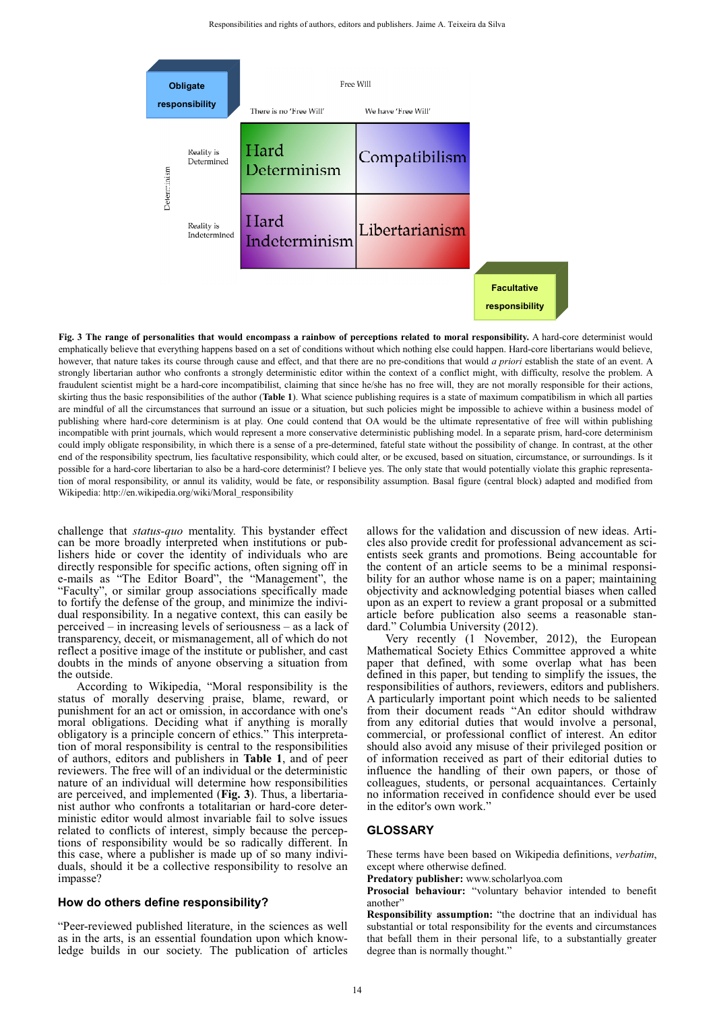

**Fig. 3 The range of personalities that would encompass a rainbow of perceptions related to moral responsibility.** A hard-core determinist would emphatically believe that everything happens based on a set of conditions without which nothing else could happen. Hard-core libertarians would believe, however, that nature takes its course through cause and effect, and that there are no pre-conditions that would *a priori* establish the state of an event. A strongly libertarian author who confronts a strongly deterministic editor within the context of a conflict might, with difficulty, resolve the problem. A fraudulent scientist might be a hard-core incompatibilist, claiming that since he/she has no free will, they are not morally responsible for their actions, skirting thus the basic responsibilities of the author (**Table 1**). What science publishing requires is a state of maximum compatibilism in which all parties are mindful of all the circumstances that surround an issue or a situation, but such policies might be impossible to achieve within a business model of publishing where hard-core determinism is at play. One could contend that OA would be the ultimate representative of free will within publishing incompatible with print journals, which would represent a more conservative deterministic publishing model. In a separate prism, hard-core determinism could imply obligate responsibility, in which there is a sense of a pre-determined, fateful state without the possibility of change. In contrast, at the other end of the responsibility spectrum, lies facultative responsibility, which could alter, or be excused, based on situation, circumstance, or surroundings. Is it possible for a hard-core libertarian to also be a hard-core determinist? I believe yes. The only state that would potentially violate this graphic representation of moral responsibility, or annul its validity, would be fate, or responsibility assumption. Basal figure (central block) adapted and modified from Wikipedia: http://en.wikipedia.org/wiki/Moral\_responsibility

challenge that *status-quo* mentality. This bystander effect can be more broadly interpreted when institutions or publishers hide or cover the identity of individuals who are directly responsible for specific actions, often signing off in e-mails as "The Editor Board", the "Management", the "Faculty", or similar group associations specifically made to fortify the defense of the group, and minimize the individual responsibility. In a negative context, this can easily be perceived – in increasing levels of seriousness – as a lack of transparency, deceit, or mismanagement, all of which do not reflect a positive image of the institute or publisher, and cast doubts in the minds of anyone observing a situation from the outside.

According to Wikipedia, "Moral responsibility is the status of morally deserving praise, blame, reward, or punishment for an act or omission, in accordance with one's moral obligations. Deciding what if anything is morally obligatory is a principle concern of ethics." This interpretation of moral responsibility is central to the responsibilities of authors, editors and publishers in **Table 1**, and of peer reviewers. The free will of an individual or the deterministic nature of an individual will determine how responsibilities are perceived, and implemented (**Fig. 3**). Thus, a libertarianist author who confronts a totalitarian or hard-core deterministic editor would almost invariable fail to solve issues related to conflicts of interest, simply because the perceptions of responsibility would be so radically different. In this case, where a publisher is made up of so many individuals, should it be a collective responsibility to resolve an impasse?

#### **How do others define responsibility?**

"Peer-reviewed published literature, in the sciences as well as in the arts, is an essential foundation upon which knowledge builds in our society. The publication of articles allows for the validation and discussion of new ideas. Articles also provide credit for professional advancement as scientists seek grants and promotions. Being accountable for the content of an article seems to be a minimal responsibility for an author whose name is on a paper; maintaining objectivity and acknowledging potential biases when called upon as an expert to review a grant proposal or a submitted article before publication also seems a reasonable standard." Columbia University (2012).

Very recently (1 November, 2012), the European Mathematical Society Ethics Committee approved a white paper that defined, with some overlap what has been defined in this paper, but tending to simplify the issues, the responsibilities of authors, reviewers, editors and publishers. A particularly important point which needs to be saliented from their document reads "An editor should withdraw from any editorial duties that would involve a personal, commercial, or professional conflict of interest. An editor should also avoid any misuse of their privileged position or of information received as part of their editorial duties to influence the handling of their own papers, or those of colleagues, students, or personal acquaintances. Certainly no information received in confidence should ever be used in the editor's own work."

## **GLOSSARY**

These terms have been based on Wikipedia definitions, *verbatim*, except where otherwise defined.

**Predatory publisher:** www.scholarlyoa.com

**Prosocial behaviour:** "voluntary behavior intended to benefit another"

**Responsibility assumption:** "the doctrine that an individual has substantial or total responsibility for the events and circumstances that befall them in their personal life, to a substantially greater degree than is normally thought."